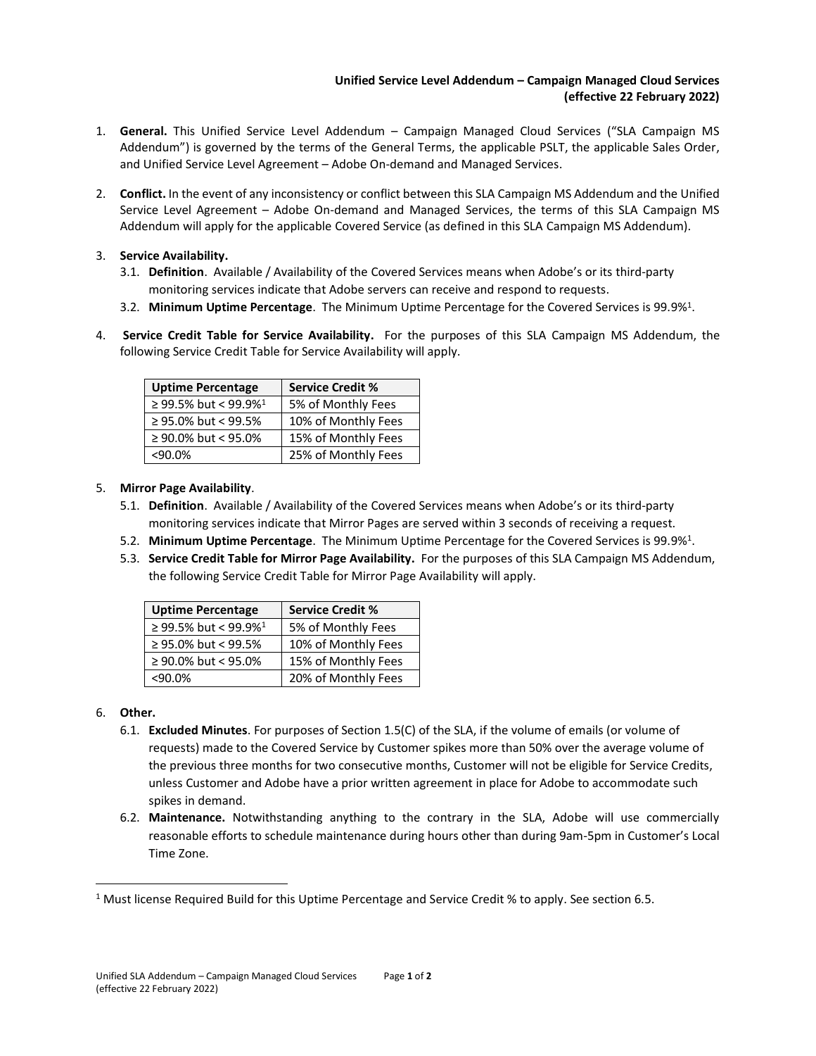## **Unified Service Level Addendum – Campaign Managed Cloud Services (effective 22 February 2022)**

- 1. **General.** This Unified Service Level Addendum Campaign Managed Cloud Services ("SLA Campaign MS Addendum") is governed by the terms of the General Terms, the applicable PSLT, the applicable Sales Order, and Unified Service Level Agreement – Adobe On-demand and Managed Services.
- 2. **Conflict.** In the event of any inconsistency or conflict between this SLA Campaign MS Addendum and the Unified Service Level Agreement – Adobe On-demand and Managed Services, the terms of this SLA Campaign MS Addendum will apply for the applicable Covered Service (as defined in this SLA Campaign MS Addendum).

## 3. **Service Availability.**

- 3.1. **Definition**. Available / Availability of the Covered Services means when Adobe's or its third-party monitoring services indicate that Adobe servers can receive and respond to requests.
- 3.2. **Minimum Uptime Percentage**. The Minimum Uptime Percentage for the Covered Services is 99.9%<sup>1</sup> .
- 4. **Service Credit Table for Service Availability.** For the purposes of this SLA Campaign MS Addendum, the following Service Credit Table for Service Availability will apply.

| <b>Uptime Percentage</b>         | <b>Service Credit %</b> |
|----------------------------------|-------------------------|
| ≥ 99.5% but < 99.9% <sup>1</sup> | 5% of Monthly Fees      |
| $\geq$ 95.0% but < 99.5%         | 10% of Monthly Fees     |
| $\geq$ 90.0% but < 95.0%         | 15% of Monthly Fees     |
| <90.0%                           | 25% of Monthly Fees     |

## 5. **Mirror Page Availability**.

- 5.1. **Definition**. Available / Availability of the Covered Services means when Adobe's or its third-party monitoring services indicate that Mirror Pages are served within 3 seconds of receiving a request.
- 5.2. **Minimum Uptime Percentage**. The Minimum Uptime Percentage for the Covered Services is 99.9%<sup>1</sup> .
- 5.3. **Service Credit Table for Mirror Page Availability.** For the purposes of this SLA Campaign MS Addendum, the following Service Credit Table for Mirror Page Availability will apply.

| <b>Uptime Percentage</b>         | <b>Service Credit %</b> |
|----------------------------------|-------------------------|
| ≥ 99.5% but < 99.9% <sup>1</sup> | 5% of Monthly Fees      |
| ≥ 95.0% but < 99.5%              | 10% of Monthly Fees     |
| $\geq$ 90.0% but < 95.0%         | 15% of Monthly Fees     |
| $< 90.0\%$                       | 20% of Monthly Fees     |

## 6. **Other.**

- 6.1. **Excluded Minutes**. For purposes of Section 1.5(C) of the SLA, if the volume of emails (or volume of requests) made to the Covered Service by Customer spikes more than 50% over the average volume of the previous three months for two consecutive months, Customer will not be eligible for Service Credits, unless Customer and Adobe have a prior written agreement in place for Adobe to accommodate such spikes in demand.
- 6.2. **Maintenance.** Notwithstanding anything to the contrary in the SLA, Adobe will use commercially reasonable efforts to schedule maintenance during hours other than during 9am-5pm in Customer's Local Time Zone.

<sup>1</sup> Must license Required Build for this Uptime Percentage and Service Credit % to apply. See section 6.5.